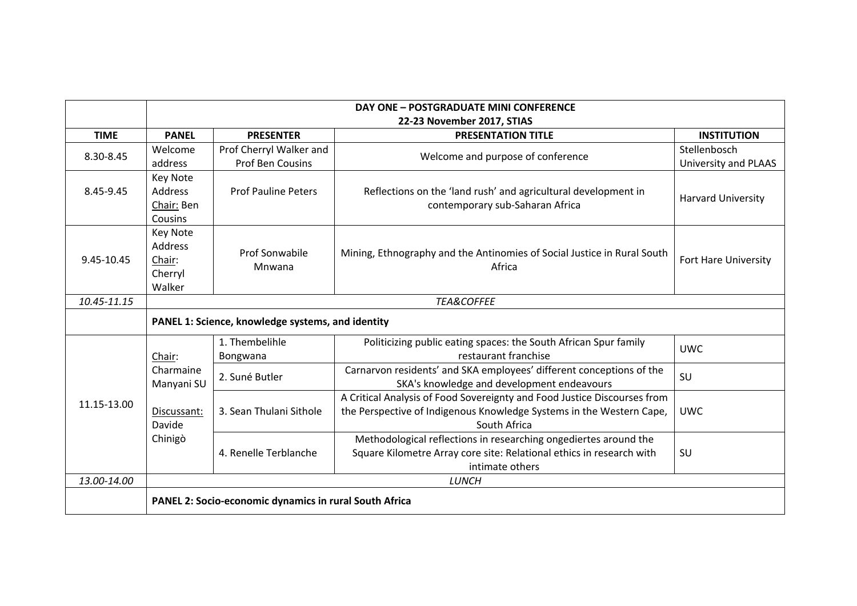|             | <b>DAY ONE - POSTGRADUATE MINI CONFERENCE</b><br>22-23 November 2017, STIAS |                                             |                                                                                                                                                                  |                                      |  |
|-------------|-----------------------------------------------------------------------------|---------------------------------------------|------------------------------------------------------------------------------------------------------------------------------------------------------------------|--------------------------------------|--|
| <b>TIME</b> | <b>PANEL</b>                                                                | <b>PRESENTER</b>                            | <b>PRESENTATION TITLE</b>                                                                                                                                        | <b>INSTITUTION</b>                   |  |
| 8.30-8.45   | Welcome<br>address                                                          | Prof Cherryl Walker and<br>Prof Ben Cousins | Welcome and purpose of conference                                                                                                                                | Stellenbosch<br>University and PLAAS |  |
| 8.45-9.45   | <b>Key Note</b><br>Address<br>Chair: Ben<br>Cousins                         | <b>Prof Pauline Peters</b>                  | Reflections on the 'land rush' and agricultural development in<br>contemporary sub-Saharan Africa                                                                | <b>Harvard University</b>            |  |
| 9.45-10.45  | <b>Key Note</b><br>Address<br>Chair:<br>Cherryl<br>Walker                   | <b>Prof Sonwabile</b><br>Mnwana             | Mining, Ethnography and the Antinomies of Social Justice in Rural South<br>Africa                                                                                | Fort Hare University                 |  |
| 10.45-11.15 | <b>TEA&amp;COFFEE</b>                                                       |                                             |                                                                                                                                                                  |                                      |  |
|             | PANEL 1: Science, knowledge systems, and identity                           |                                             |                                                                                                                                                                  |                                      |  |
| 11.15-13.00 | Chair:<br>Charmaine<br>Manyani SU                                           | 1. Thembelihle<br>Bongwana                  | Politicizing public eating spaces: the South African Spur family<br>restaurant franchise                                                                         | <b>UWC</b>                           |  |
|             |                                                                             | 2. Suné Butler                              | Carnarvon residents' and SKA employees' different conceptions of the<br>SKA's knowledge and development endeavours                                               | SU                                   |  |
|             | Discussant:<br>Davide<br>Chinigò                                            | 3. Sean Thulani Sithole                     | A Critical Analysis of Food Sovereignty and Food Justice Discourses from<br>the Perspective of Indigenous Knowledge Systems in the Western Cape,<br>South Africa | <b>UWC</b>                           |  |
|             |                                                                             | 4. Renelle Terblanche                       | Methodological reflections in researching ongediertes around the<br>Square Kilometre Array core site: Relational ethics in research with<br>intimate others      | SU                                   |  |
| 13.00-14.00 |                                                                             |                                             | <b>LUNCH</b>                                                                                                                                                     |                                      |  |
|             | PANEL 2: Socio-economic dynamics in rural South Africa                      |                                             |                                                                                                                                                                  |                                      |  |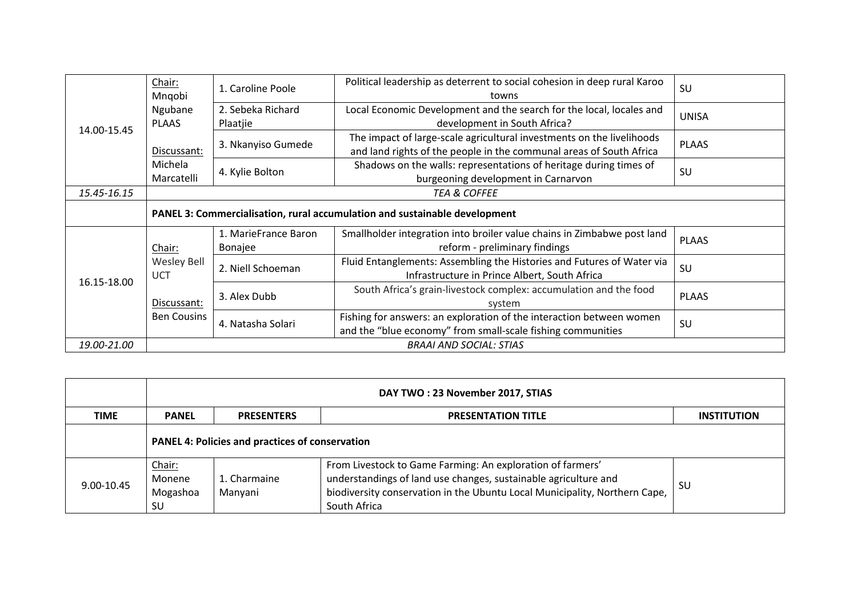| 14.00-15.45 | Chair:<br>Mngobi                                                           | 1. Caroline Poole               | Political leadership as deterrent to social cohesion in deep rural Karoo<br>towns                                                            | SU           |
|-------------|----------------------------------------------------------------------------|---------------------------------|----------------------------------------------------------------------------------------------------------------------------------------------|--------------|
|             | Ngubane<br><b>PLAAS</b>                                                    | 2. Sebeka Richard<br>Plaatjie   | Local Economic Development and the search for the local, locales and<br>development in South Africa?                                         | <b>UNISA</b> |
|             | Discussant:                                                                | 3. Nkanyiso Gumede              | The impact of large-scale agricultural investments on the livelihoods<br>and land rights of the people in the communal areas of South Africa | <b>PLAAS</b> |
|             | Michela<br>Marcatelli                                                      | 4. Kylie Bolton                 | Shadows on the walls: representations of heritage during times of<br>burgeoning development in Carnarvon                                     | SU           |
| 15.45-16.15 | <b>TEA &amp; COFFEE</b>                                                    |                                 |                                                                                                                                              |              |
|             | PANEL 3: Commercialisation, rural accumulation and sustainable development |                                 |                                                                                                                                              |              |
| 16.15-18.00 | Chair:                                                                     | 1. MarieFrance Baron<br>Bonajee | Smallholder integration into broiler value chains in Zimbabwe post land<br>reform - preliminary findings                                     | <b>PLAAS</b> |
|             | <b>Wesley Bell</b><br><b>UCT</b>                                           | 2. Niell Schoeman               | Fluid Entanglements: Assembling the Histories and Futures of Water via<br>Infrastructure in Prince Albert, South Africa                      | SU           |
|             | Discussant:                                                                | 3. Alex Dubb                    | South Africa's grain-livestock complex: accumulation and the food<br>system                                                                  | <b>PLAAS</b> |
|             | <b>Ben Cousins</b>                                                         | 4. Natasha Solari               | Fishing for answers: an exploration of the interaction between women<br>and the "blue economy" from small-scale fishing communities          | SU           |
| 19.00-21.00 | <b>BRAAI AND SOCIAL: STIAS</b>                                             |                                 |                                                                                                                                              |              |

|             | DAY TWO: 23 November 2017, STIAS                       |                         |                                                                                                                                                                                                                             |                    |
|-------------|--------------------------------------------------------|-------------------------|-----------------------------------------------------------------------------------------------------------------------------------------------------------------------------------------------------------------------------|--------------------|
| <b>TIME</b> | <b>PANEL</b>                                           | <b>PRESENTERS</b>       | <b>PRESENTATION TITLE</b>                                                                                                                                                                                                   | <b>INSTITUTION</b> |
|             | <b>PANEL 4: Policies and practices of conservation</b> |                         |                                                                                                                                                                                                                             |                    |
| 9.00-10.45  | Chair:<br>Monene<br>Mogashoa<br>SU                     | 1. Charmaine<br>Manyani | From Livestock to Game Farming: An exploration of farmers'<br>understandings of land use changes, sustainable agriculture and<br>biodiversity conservation in the Ubuntu Local Municipality, Northern Cape,<br>South Africa | -SU                |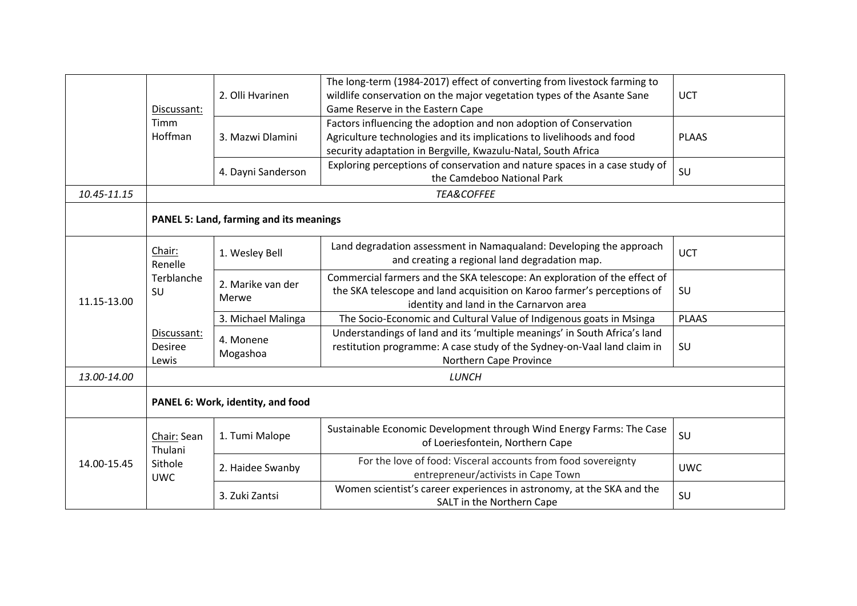|             |                                                 | 2. Olli Hvarinen           | The long-term (1984-2017) effect of converting from livestock farming to<br>wildlife conservation on the major vegetation types of the Asante Sane                                                          | <b>UCT</b>   |
|-------------|-------------------------------------------------|----------------------------|-------------------------------------------------------------------------------------------------------------------------------------------------------------------------------------------------------------|--------------|
|             | Discussant:<br>Timm<br>Hoffman                  |                            | Game Reserve in the Eastern Cape                                                                                                                                                                            |              |
|             |                                                 | 3. Mazwi Dlamini           | Factors influencing the adoption and non adoption of Conservation<br>Agriculture technologies and its implications to livelihoods and food<br>security adaptation in Bergville, Kwazulu-Natal, South Africa | <b>PLAAS</b> |
|             |                                                 | 4. Dayni Sanderson         | Exploring perceptions of conservation and nature spaces in a case study of<br>the Camdeboo National Park                                                                                                    | SU           |
| 10.45-11.15 |                                                 |                            | <b>TEA&amp;COFFEE</b>                                                                                                                                                                                       |              |
|             | <b>PANEL 5: Land, farming and its meanings</b>  |                            |                                                                                                                                                                                                             |              |
| 11.15-13.00 | Chair:<br>Renelle                               | 1. Wesley Bell             | Land degradation assessment in Namaqualand: Developing the approach<br>and creating a regional land degradation map.                                                                                        | <b>UCT</b>   |
|             | Terblanche<br>SU                                | 2. Marike van der<br>Merwe | Commercial farmers and the SKA telescope: An exploration of the effect of<br>the SKA telescope and land acquisition on Karoo farmer's perceptions of<br>identity and land in the Carnarvon area             | SU           |
|             |                                                 | 3. Michael Malinga         | The Socio-Economic and Cultural Value of Indigenous goats in Msinga                                                                                                                                         | <b>PLAAS</b> |
|             | Discussant:<br><b>Desiree</b><br>Lewis          | 4. Monene<br>Mogashoa      | Understandings of land and its 'multiple meanings' in South Africa's land<br>restitution programme: A case study of the Sydney-on-Vaal land claim in<br>Northern Cape Province                              | SU           |
| 13.00-14.00 | LUNCH                                           |                            |                                                                                                                                                                                                             |              |
|             | PANEL 6: Work, identity, and food               |                            |                                                                                                                                                                                                             |              |
| 14.00-15.45 | Chair: Sean<br>Thulani<br>Sithole<br><b>UWC</b> | 1. Tumi Malope             | Sustainable Economic Development through Wind Energy Farms: The Case<br>of Loeriesfontein, Northern Cape                                                                                                    | SU           |
|             |                                                 | 2. Haidee Swanby           | For the love of food: Visceral accounts from food sovereignty<br>entrepreneur/activists in Cape Town                                                                                                        | <b>UWC</b>   |
|             |                                                 | 3. Zuki Zantsi             | Women scientist's career experiences in astronomy, at the SKA and the<br>SALT in the Northern Cape                                                                                                          | SU           |